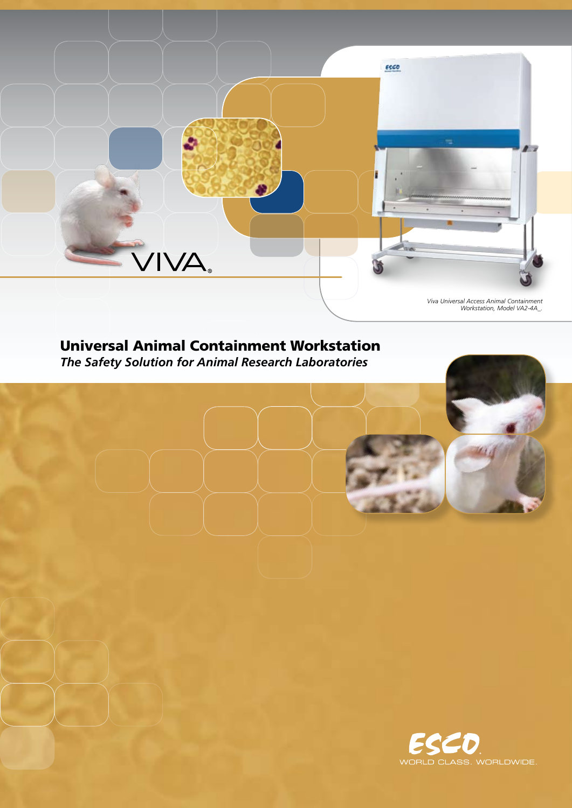

*Viva Universal Access Animal Containment Workstation, Model VA2-4A\_.*

# Universal Animal Containment Workstation

*The Safety Solution for Animal Research Laboratories*

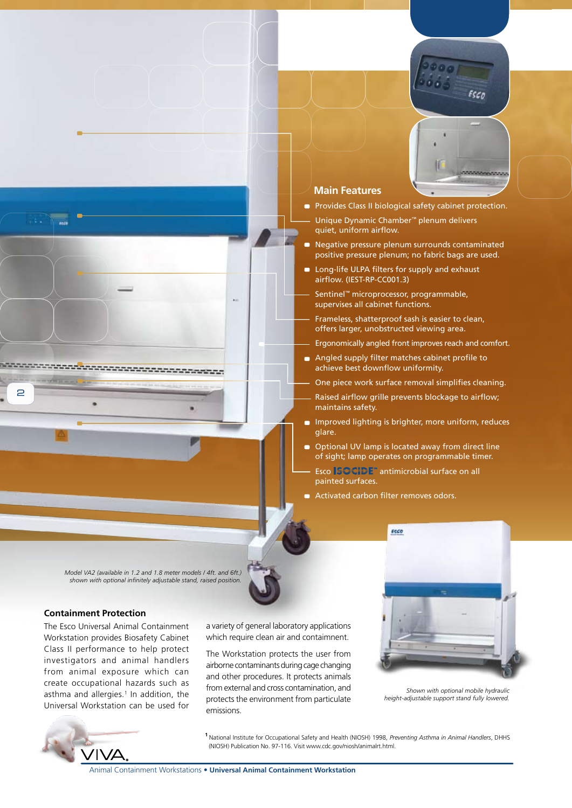

#### **Main Features**

- **Provides Class II biological safety cabinet protection.**
- Unique Dynamic Chamber™ plenum delivers quiet, uniform airflow.
- -Negative pressure plenum surrounds contaminated positive pressure plenum; no fabric bags are used.
- Long-life ULPA filters for supply and exhaust airflow. (IEST-RP-CC001.3)

Sentinel™ microprocessor, programmable, supervises all cabinet functions.

Frameless, shatterproof sash is easier to clean, offers larger, unobstructed viewing area.

Ergonomically angled front improves reach and comfort.

Angled supply filter matches cabinet profile to achieve best downflow uniformity.

One piece work surface removal simplifies cleaning.

- Raised airflow grille prevents blockage to airflow; maintains safety.
- **n** Improved lighting is brighter, more uniform, reduces glare.
- Optional UV lamp is located away from direct line of sight; lamp operates on programmable timer. Esco **SCCIDE**" antimicrobial surface on all painted surfaces.
- Activated carbon filter removes odors.

*Model VA2 (available in 1.2 and 1.8 meter models / 4ft. and 6ft.) shown with optional infinitely adjustable stand, raised position.* 

**André Contrat de Contrat de Contrat de Contrat de Contrat de Contrat de Contrat de Contrat de Contrat de Contr** 

#### **Containment Protection**

 $\Rightarrow$ 

The Esco Universal Animal Containment Workstation provides Biosafety Cabinet Class II performance to help protect investigators and animal handlers from animal exposure which can create occupational hazards such as asthma and allergies.<sup>1</sup> In addition, the Universal Workstation can be used for



a variety of general laboratory applications which require clean air and contaimnent.

The Workstation protects the user from airborne contaminants during cage changing and other procedures. It protects animals from external and cross contamination, and protects the environment from particulate emissions.



*Shown with optional mobile hydraulic height-adjustable support stand fully lowered.* 

**<sup>1</sup>**National Institute for Occupational Safety and Health (NIOSH) 1998, *Preventing Asthma in Animal Handlers*, DHHS (NIOSH) Publication No. 97-116. Visit www.cdc.gov/niosh/animalrt.html.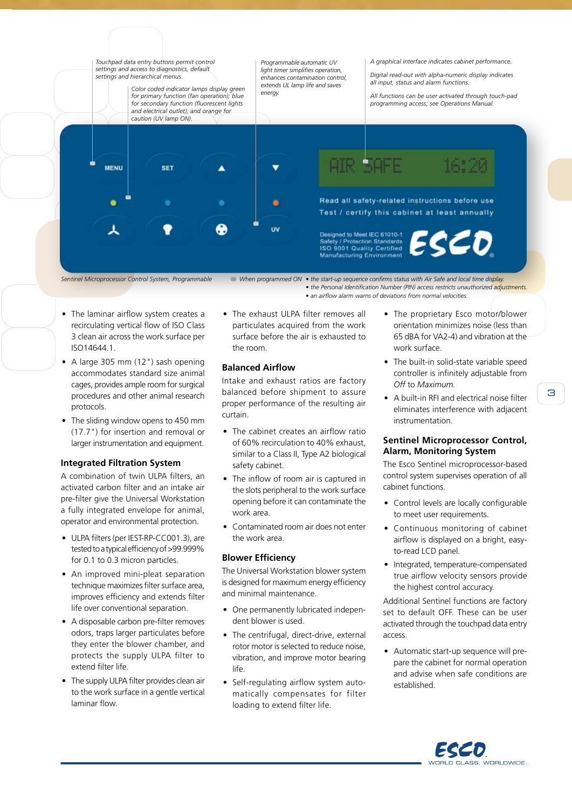

*Sentinel Microprocessor Control System, Programmable*

*When programmed ON • the start-up sequence confirms status with Air Safe and local time display.*

*• the Personal Identification Number (PIN) access restricts unauthorized adjustments. • an airflow alarm warns of deviations from normal velocities.*

- The laminar airflow system creates a recirculating vertical flow of ISO Class 3 clean air across the work surface per ISO14644.1.
- A large 305 mm (12") sash opening accommodates standard size animal cages, provides ample room for surgical procedures and other animal research protocols.
- The sliding window opens to 450 mm (17.7") for insertion and removal or larger instrumentation and equipment.

# **Integrated Filtration System**

A combination of twin ULPA filters, an activated carbon filter and an intake air pre-filter give the Universal Workstation a fully integrated envelope for animal, operator and environmental protection.

- ULPA filters (per IEST-RP-CC001.3), are tested to a typical efficiency of >99.999% for 0.1 to 0.3 micron particles.
- An improved mini-pleat separation technique maximizes filter surface area, improves efficiency and extends filter life over conventional separation.
- A disposable carbon pre-filter removes odors, traps larger particulates before they enter the blower chamber, and protects the supply ULPA filter to extend filter life.
- The supply ULPA filter provides clean air to the work surface in a gentle vertical laminar flow.

• The exhaust ULPA filter removes all particulates acquired from the work surface before the air is exhausted to the room.

#### **Balanced Airflow**

Intake and exhaust ratios are factory balanced before shipment to assure proper performance of the resulting air curtain.

- The cabinet creates an airflow ratio of 60% recirculation to 40% exhaust, similar to a Class II, Type A2 biological safety cabinet.
- The inflow of room air is captured in the slots peripheral to the work surface opening before it can contaminate the work area.
- Contaminated room air does not enter the work area.

# **Blower Efficiency**

The Universal Workstation blower system is designed for maximum energy efficiency and minimal maintenance.

- One permanently lubricated independent blower is used.
- The centrifugal, direct-drive, external rotor motor is selected to reduce noise, vibration, and improve motor bearing life.
- Self-regulating airflow system automatically compensates for filter loading to extend filter life.
- The proprietary Esco motor/blower orientation minimizes noise (less than 65 dBA for VA2-4) and vibration at the work surface.
- The built-in solid-state variable speed controller is infinitely adjustable from *Off* to *Maximum.*
- A built-in RFI and electrical noise filter eliminates interference with adjacent instrumentation.

#### **Sentinel Microprocessor Control, Alarm, Monitoring System**

The Esco Sentinel microprocessor-based control system supervises operation of all cabinet functions.

- Control levels are locally configurable to meet user requirements.
- Continuous monitoring of cabinet airflow is displayed on a bright, easyto-read LCD panel.
- Integrated, temperature-compensated true airflow velocity sensors provide the highest control accuracy.

Additional Sentinel functions are factory set to default OFF. These can be user activated through the touchpad data entry access.

• Automatic start-up sequence will prepare the cabinet for normal operation and advise when safe conditions are established.

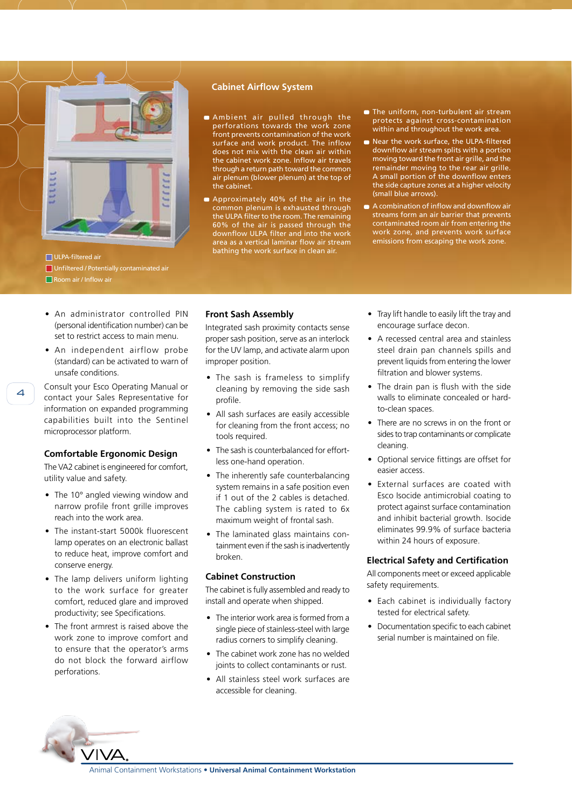

ULPA-filtered air Unfiltered / Potentially contaminated air Room air / Inflow air

#### **Cabinet Airflow System**

- Ambient air pulled through the perforations towards the work zone .<br>front prevents contamination of the work surface and work product. The inflow does not mix with the clean air within the cabinet work zone. Inflow air travels through a return path toward the common air plenum (blower plenum) at the top of the cabinet.
- Approximately 40% of the air in the common plenum is exhausted through the ULPA filter to the room. The remaining 60% of the air is passed through the downflow ULPA filter and into the work area as a vertical laminar flow air stream bathing the work surface in clean air.
- **n** The uniform, non-turbulent air stream protects against cross-contamination within and throughout the work area.
- Near the work surface, the ULPA-filtered downflow air stream splits with a portion moving toward the front air grille, and the remainder moving to the rear air grille. A small portion of the downflow enters the side capture zones at a higher velocity (small blue arrows).
- A combination of inflow and downflow air streams form an air barrier that prevents contaminated room air from entering the work zone, and prevents work surface emissions from escaping the work zone.

- An administrator controlled PIN (personal identification number) can be set to restrict access to main menu.
- An independent airflow probe (standard) can be activated to warn of unsafe conditions.

Consult your Esco Operating Manual or contact your Sales Representative for information on expanded programming capabilities built into the Sentinel microprocessor platform.

#### **Comfortable Ergonomic Design**

The VA2 cabinet is engineered for comfort, utility value and safety.

- The 10° angled viewing window and narrow profile front grille improves reach into the work area.
- The instant-start 5000k fluorescent lamp operates on an electronic ballast to reduce heat, improve comfort and conserve energy.
- The lamp delivers uniform lighting to the work surface for greater comfort, reduced glare and improved productivity; see Specifications.
- The front armrest is raised above the work zone to improve comfort and to ensure that the operator's arms do not block the forward airflow perforations.

#### **Front Sash Assembly**

Integrated sash proximity contacts sense proper sash position, serve as an interlock for the UV lamp, and activate alarm upon improper position.

- The sash is frameless to simplify cleaning by removing the side sash profile.
- All sash surfaces are easily accessible for cleaning from the front access; no tools required.
- The sash is counterbalanced for effortless one-hand operation.
- The inherently safe counterbalancing system remains in a safe position even if 1 out of the 2 cables is detached. The cabling system is rated to 6x maximum weight of frontal sash.
- The laminated glass maintains containment even if the sash is inadvertently broken.

#### **Cabinet Construction**

The cabinet is fully assembled and ready to install and operate when shipped.

- The interior work area is formed from a single piece of stainless-steel with large radius corners to simplify cleaning.
- The cabinet work zone has no welded joints to collect contaminants or rust.
- All stainless steel work surfaces are accessible for cleaning.
- Tray lift handle to easily lift the tray and encourage surface decon.
- A recessed central area and stainless steel drain pan channels spills and prevent liquids from entering the lower filtration and blower systems.
- The drain pan is flush with the side walls to eliminate concealed or hardto-clean spaces.
- There are no screws in on the front or sides to trap contaminants or complicate cleaning.
- Optional service fittings are offset for easier access.
- External surfaces are coated with Esco Isocide antimicrobial coating to protect against surface contamination and inhibit bacterial growth. Isocide eliminates 99.9% of surface bacteria within 24 hours of exposure.

#### **Electrical Safety and Certification**

All components meet or exceed applicable safety requirements.

- Each cabinet is individually factory tested for electrical safety.
- Documentation specific to each cabinet serial number is maintained on file.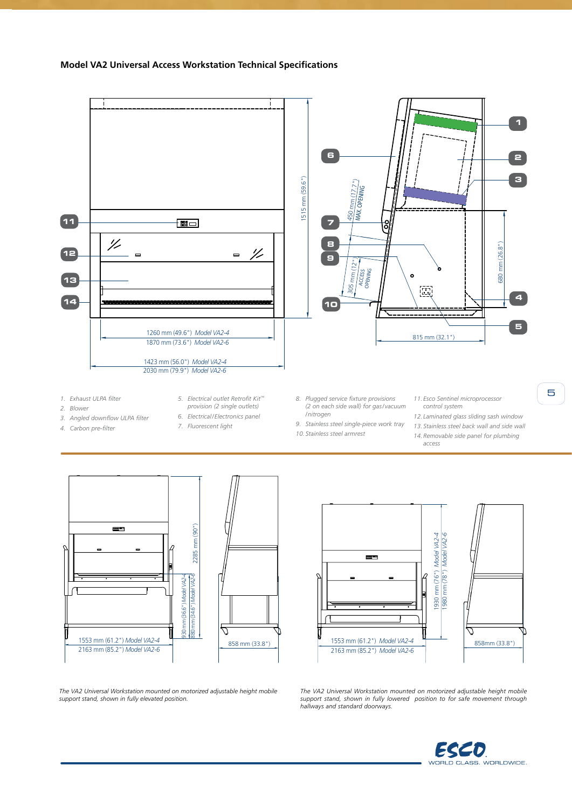#### **Model VA2 Universal Access Workstation Technical Specifications**



- *1. Exhaust ULPA filter*
- *2. Blower*
- *3. Angled downflow ULPA filter 4. Carbon pre-filter*
- *5. Electrical outlet Retrofit Kit™ provision (2 single outlets)*
- - *6. Electrical/Electronics panel 7. Fluorescent light*
- *8. Plugged service fixture provisions (2 on each side wall) for gas/vacuum /nitrogen*
- *9. Stainless steel single-piece work tray*
- *10. Stainless steel armrest*
- *11. Esco Sentinel microprocessor control system*
- *12. Laminated glass sliding sash window 13. Stainless steel back wall and side wall*

5

*14.Removable side panel for plumbing access*





*The VA2 Universal Workstation mounted on motorized adjustable height mobile support stand, shown in fully elevated position.*

*The VA2 Universal Workstation mounted on motorized adjustable height mobile support stand, shown in fully lowered position to for safe movement through hallways and standard doorways.*

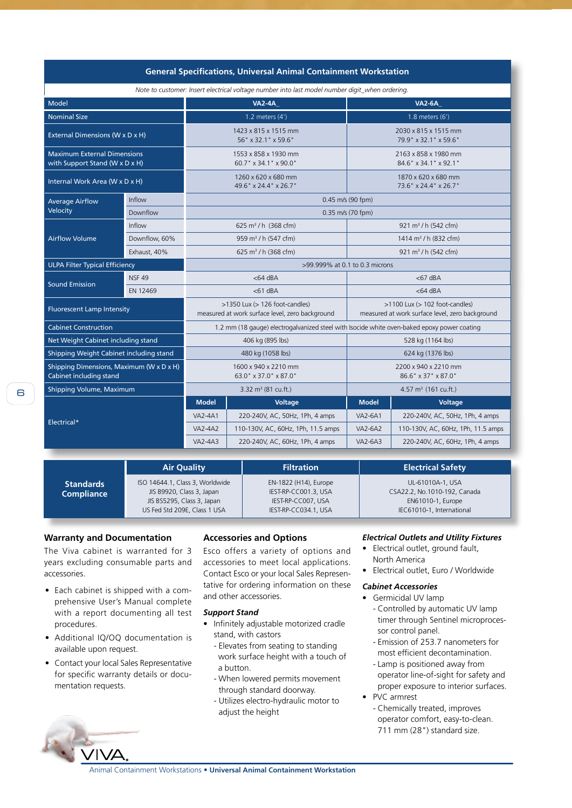| <b>General Specifications, Universal Animal Containment Workstation</b>                        |               |                                                                                             |                                    |                                                                                       |                                    |
|------------------------------------------------------------------------------------------------|---------------|---------------------------------------------------------------------------------------------|------------------------------------|---------------------------------------------------------------------------------------|------------------------------------|
| Note to customer: Insert electrical voltage number into last model number digit_when ordering. |               |                                                                                             |                                    |                                                                                       |                                    |
| Model                                                                                          |               | <b>VA2-4A</b>                                                                               |                                    | <b>VA2-6A</b>                                                                         |                                    |
| <b>Nominal Size</b>                                                                            |               | 1.2 meters $(4')$                                                                           |                                    | 1.8 meters (6')                                                                       |                                    |
| External Dimensions (W x D x H)                                                                |               | 1423 x 815 x 1515 mm<br>56" x 32.1" x 59.6"                                                 |                                    | 2030 x 815 x 1515 mm<br>79.9" x 32.1" x 59.6"                                         |                                    |
| <b>Maximum External Dimensions</b><br>with Support Stand (W x D x H)                           |               | 1553 x 858 x 1930 mm<br>60.7" x 34.1" x 90.0"                                               |                                    | 2163 x 858 x 1980 mm<br>84.6" x 34.1" x 92.1"                                         |                                    |
| Internal Work Area (W x D x H)                                                                 |               | 1260 x 620 x 680 mm<br>49.6" x 24.4" x 26.7"                                                |                                    | 1870 x 620 x 680 mm<br>73.6" x 24.4" x 26.7"                                          |                                    |
| <b>Average Airflow</b><br>Velocity                                                             | Inflow        | 0.45 m/s (90 fpm)                                                                           |                                    |                                                                                       |                                    |
|                                                                                                | Downflow      | $0.35$ m/s (70 fpm)                                                                         |                                    |                                                                                       |                                    |
| <b>Airflow Volume</b>                                                                          | Inflow        | 625 m <sup>3</sup> / h (368 cfm)                                                            |                                    | 921 m <sup>3</sup> / h (542 cfm)                                                      |                                    |
|                                                                                                | Downflow, 60% | 959 m <sup>3</sup> / h (547 cfm)                                                            |                                    | 1414 m <sup>3</sup> / h (832 cfm)                                                     |                                    |
|                                                                                                | Exhaust, 40%  | 625 m <sup>3</sup> / h (368 cfm)                                                            |                                    | 921 m <sup>3</sup> / h (542 cfm)                                                      |                                    |
| <b>ULPA Filter Typical Efficiency</b>                                                          |               | >99.999% at 0.1 to 0.3 microns                                                              |                                    |                                                                                       |                                    |
| <b>Sound Emission</b>                                                                          | <b>NSF 49</b> | $<$ 64 dBA                                                                                  |                                    | $<$ 67 dBA                                                                            |                                    |
|                                                                                                | EN 12469      | $<$ 61 dBA                                                                                  |                                    | $<$ 64 dBA                                                                            |                                    |
| <b>Fluorescent Lamp Intensity</b>                                                              |               | $>1350$ Lux ( $>126$ foot-candles)<br>measured at work surface level, zero background       |                                    | $>1100$ Lux ( $>102$ foot-candles)<br>measured at work surface level, zero background |                                    |
| <b>Cabinet Construction</b>                                                                    |               | 1.2 mm (18 gauge) electrogalvanized steel with Isocide white oven-baked epoxy power coating |                                    |                                                                                       |                                    |
| Net Weight Cabinet including stand                                                             |               | 406 kg (895 lbs)                                                                            |                                    | 528 kg (1164 lbs)                                                                     |                                    |
| Shipping Weight Cabinet including stand                                                        |               | 480 kg (1058 lbs)                                                                           |                                    | 624 kg (1376 lbs)                                                                     |                                    |
| Shipping Dimensions, Maximum (W x D x H)<br>Cabinet including stand                            |               | 1600 x 940 x 2210 mm<br>63.0" x 37.0" x 87.0"                                               |                                    | 2200 x 940 x 2210 mm<br>86.6" x 37" x 87.0"                                           |                                    |
| Shipping Volume, Maximum                                                                       |               | 3.32 $m^3$ (81 cu.ft.)                                                                      |                                    | 4.57 $m3$ (161 cu.ft.)                                                                |                                    |
| Electrical*                                                                                    |               | <b>Model</b>                                                                                | <b>Voltage</b>                     | <b>Model</b>                                                                          | <b>Voltage</b>                     |
|                                                                                                |               | <b>VA2-4A1</b>                                                                              | 220-240V, AC, 50Hz, 1Ph, 4 amps    | <b>VA2-6A1</b>                                                                        | 220-240V, AC, 50Hz, 1Ph, 4 amps    |
|                                                                                                |               | <b>VA2-4A2</b>                                                                              | 110-130V, AC, 60Hz, 1Ph, 11.5 amps | <b>VA2-6A2</b>                                                                        | 110-130V, AC, 60Hz, 1Ph, 11.5 amps |
|                                                                                                |               | VA2-4A3                                                                                     | 220-240V, AC, 60Hz, 1Ph, 4 amps    | VA2-6A3                                                                               | 220-240V, AC, 60Hz, 1Ph, 4 amps    |

**Standards Compliance Air Quality Filtration Electrical Safety** ISO 14644.1, Class 3, Worldwide JIS B9920, Class 3, Japan JIS BS5295, Class 3, Japan US Fed Std 209E, Class 1 USA EN-1822 (H14), Europe IEST-RP-CC001.3, USA IEST-RP-CC007, USA IEST-RP-CC034.1, USA UL-61010A-1, USA CSA22.2, No.1010-192, Canada EN61010-1, Europe IEC61010-1, International

# **Warranty and Documentation**

The Viva cabinet is warranted for 3 years excluding consumable parts and accessories.

- Each cabinet is shipped with a comprehensive User's Manual complete with a report documenting all test procedures.
- Additional IQ/OQ documentation is available upon request.
- Contact your local Sales Representative for specific warranty details or documentation requests.

# **Accessories and Options**

Esco offers a variety of options and accessories to meet local applications. Contact Esco or your local Sales Representative for ordering information on these and other accessories.

#### *Support Stand*

- Infinitely adjustable motorized cradle stand, with castors
	- Elevates from seating to standing work surface height with a touch of a button.
	- When lowered permits movement through standard doorway.
	- Utilizes electro-hydraulic motor to adjust the height

#### *Electrical Outlets and Utility Fixtures*

- Electrical outlet, ground fault, North America
- Electrical outlet, Euro / Worldwide

#### *Cabinet Accessories*

- Germicidal UV lamp
	- Controlled by automatic UV lamp timer through Sentinel microproces sor control panel.
	- Emission of 253.7 nanometers for most efficient decontamination.
	- Lamp is positioned away from operator line-of-sight for safety and proper exposure to interior surfaces.
- PVC armrest
	- Chemically treated, improves operator comfort, easy-to-clean. 711 mm (28") standard size.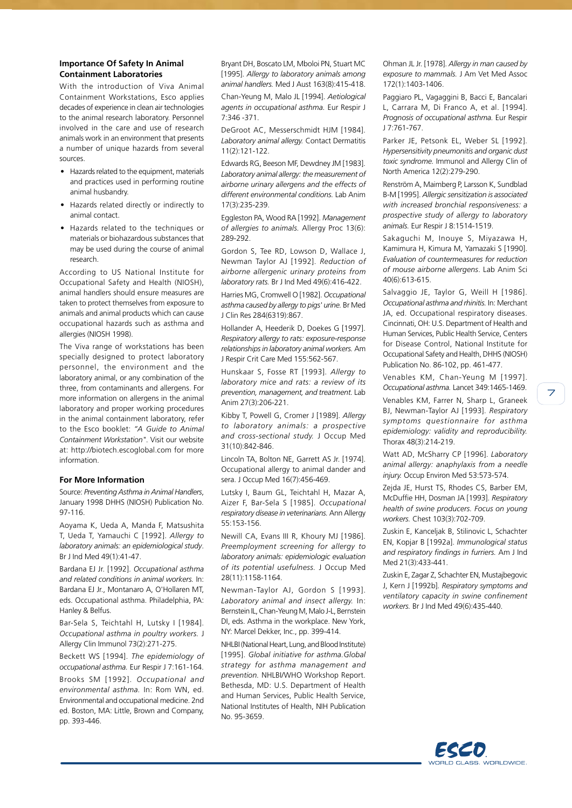#### **Importance Of Safety In Animal Containment Laboratories**

With the introduction of Viva Animal Containment Workstations, Esco applies decades of experience in clean air technologies to the animal research laboratory. Personnel involved in the care and use of research animals work in an environment that presents a number of unique hazards from several sources.

- Hazards related to the equipment, materials and practices used in performing routine animal husbandry.
- Hazards related directly or indirectly to animal contact.
- Hazards related to the techniques or materials or biohazardous substances that may be used during the course of animal research.

According to US National Institute for Occupational Safety and Health (NIOSH), animal handlers should ensure measures are taken to protect themselves from exposure to animals and animal products which can cause occupational hazards such as asthma and allergies (NIOSH 1998).

The Viva range of workstations has been specially designed to protect laboratory personnel, the environment and the laboratory animal, or any combination of the three, from contaminants and allergens. For more information on allergens in the animal laboratory and proper working procedures in the animal containment laboratory, refer to the Esco booklet: *"A Guide to Animal Containment Workstation"*. Visit our website at: http://biotech.escoglobal.com for more information.

#### **For More Information**

Source: *Preventing Asthma in Animal Handlers*, January 1998 DHHS (NIOSH) Publication No. 97-116.

Aoyama K, Ueda A, Manda F, Matsushita T, Ueda T, Yamauchi C [1992]. *Allergy to laboratory animals: an epidemiological study*. Br J Ind Med 49(1):41-47.

Bardana EJ Jr. [1992]. *Occupational asthma and related conditions in animal workers.* In: Bardana EJ Jr., Montanaro A, O'Hollaren MT, eds. Occupational asthma. Philadelphia, PA: Hanley & Belfus.

Bar-Sela S, Teichtahl H, Lutsky I [1984]. *Occupational asthma in poultry workers.* J Allergy Clin Immunol 73(2):271-275.

Beckett WS [1994]. *The epidemiology of occupational asthma.* Eur Respir J 7:161-164. Brooks SM [1992]. *Occupational and environmental asthma.* In: Rom WN, ed. Environmental and occupational medicine. 2nd ed. Boston, MA: Little, Brown and Company, pp. 393-446.

Bryant DH, Boscato LM, Mboloi PN, Stuart MC [1995]. *Allergy to laboratory animals among animal handlers.* Med J Aust 163(8):415-418. Chan-Yeung M, Malo JL [1994]. *Aetiological agents in occupational asthma.* Eur Respir J 7:346 -371.

DeGroot AC, Messerschmidt HJM [1984]. *Laboratory animal allergy.* Contact Dermatitis 11(2):121-122.

Edwards RG, Beeson MF, Dewdney JM [1983]. *Laboratory animal allergy: the measurement of airborne urinary allergens and the effects of different environmental conditions.* Lab Anim 17(3):235-239.

Eggleston PA, Wood RA [1992]. *Management of allergies to animals.* Allergy Proc 13(6): 289-292.

Gordon S, Tee RD, Lowson D, Wallace J, Newman Taylor AJ [1992]. *Reduction of airborne allergenic urinary proteins from laboratory rats.* Br J Ind Med 49(6):416-422.

Harries MG, Cromwell O [1982]. *Occupational asthma caused by allergy to pigs' urine.* Br Med J Clin Res 284(6319):867.

Hollander A, Heederik D, Doekes G [1997]. *Respiratory allergy to rats: exposure-response relationships in laboratory animal workers.* Am J Respir Crit Care Med 155:562-567.

Hunskaar S, Fosse RT [1993]. *Allergy to laboratory mice and rats: a review of its prevention, management, and treatment.* Lab Anim 27(3):206-221.

Kibby T, Powell G, Cromer J [1989]. *Allergy to laboratory animals: a prospective and cross-sectional study.* J Occup Med 31(10):842-846.

Lincoln TA, Bolton NE, Garrett AS Jr. [1974]. Occupational allergy to animal dander and sera. J Occup Med 16(7):456-469.

Lutsky I, Baum GL, Teichtahl H, Mazar A, Aizer F, Bar-Sela S [1985]. *Occupational respiratory disease in veterinarians.* Ann Allergy 55:153-156.

Newill CA, Evans III R, Khoury MJ [1986]. *Preemployment screening for allergy to laboratory animals: epidemiologic evaluation of its potential usefulness.* J Occup Med 28(11):1158-1164.

Newman-Taylor AJ, Gordon S [1993]. *Laboratory animal and insect allergy.* In: Bernstein IL, Chan-Yeung M, Malo J-L, Bernstein DI, eds. Asthma in the workplace. New York, NY: Marcel Dekker, Inc., pp. 399-414.

NHLBI (National Heart, Lung, and Blood Institute) [1995]. *Global initiative for asthma.Global strategy for asthma management and prevention.* NHLBI/WHO Workshop Report. Bethesda, MD: U.S. Department of Health and Human Services, Public Health Service, National Institutes of Health, NIH Publication No. 95-3659.

Ohman JL Jr. [1978]. *Allergy in man caused by exposure to mammals.* J Am Vet Med Assoc 172(1):1403-1406.

Paggiaro PL, Vagaggini B, Bacci E, Bancalari L, Carrara M, Di Franco A, et al. [1994]. *Prognosis of occupational asthma.* Eur Respir J 7:761-767.

Parker JE, Petsonk EL, Weber SL [1992]. *Hypersensitivity pneumonitis and organic dust toxic syndrome.* Immunol and Allergy Clin of North America 12(2):279-290.

Renström A, Maimberg P, Larsson K, Sundblad B-M [1995]. *Allergic sensitization is associated with increased bronchial responsiveness: a prospective study of allergy to laboratory animals.* Eur Respir J 8:1514-1519.

Sakaguchi M, Inouye S, Miyazawa H, Kamimura H, Kimura M, Yamazaki S [1990]. *Evaluation of countermeasures for reduction of mouse airborne allergens*. Lab Anim Sci 40(6):613-615.

Salvaggio JE, Taylor G, Weill H [1986]. *Occupational asthma and rhinitis.* In: Merchant JA, ed. Occupational respiratory diseases. Cincinnati, OH: U.S. Department of Health and Human Services, Public Health Service, Centers for Disease Control, National Institute for Occupational Safety and Health, DHHS (NIOSH) Publication No. 86-102, pp. 461-477.

Venables KM, Chan-Yeung M [1997]. *Occupational asthma.* Lancet 349:1465-1469. Venables KM, Farrer N, Sharp L, Graneek BJ, Newman-Taylor AJ [1993]. *Respiratory* 

*symptoms questionnaire for asthma epidemiology: validity and reproducibility.* Thorax 48(3):214-219.

Watt AD, McSharry CP [1996]. *Laboratory animal allergy: anaphylaxis from a needle injury.* Occup Environ Med 53:573-574.

Zejda JE, Hurst TS, Rhodes CS, Barber EM, McDuffie HH, Dosman JA [1993]. *Respiratory health of swine producers. Focus on young workers.* Chest 103(3):702-709.

Zuskin E, Kanceljak B, Stilinovic L, Schachter EN, Kopjar B [1992a]. *Immunological status and respiratory findings in furriers.* Am J Ind Med 21(3):433-441.

Zuskin E, Zagar Z, Schachter EN, Mustajbegovic J, Kern J [1992b]. *Respiratory symptoms and ventilatory capacity in swine confinement workers.* Br J Ind Med 49(6):435-440.